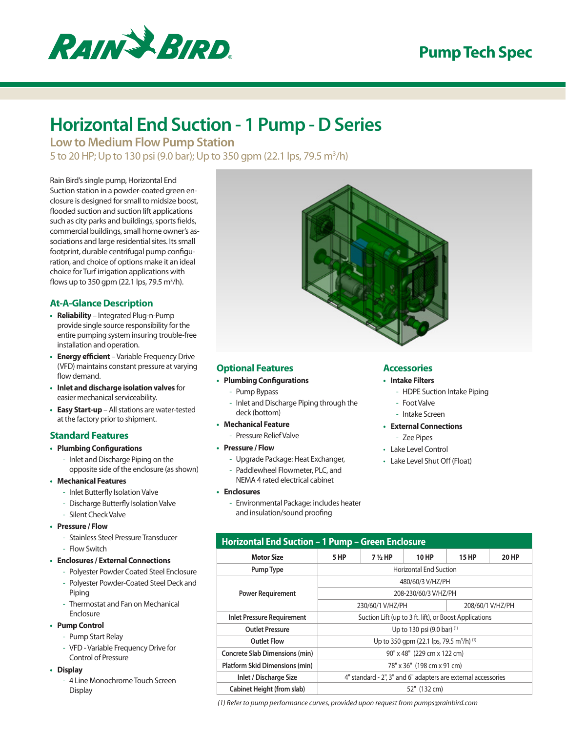

# **Pump Tech Spec**

# **Horizontal End Suction - 1 Pump - D Series**

**Low to Medium Flow Pump Station**

5 to 20 HP; Up to 130 psi (9.0 bar); Up to 350 gpm (22.1 lps, 79.5 m<sup>3</sup>/h)

Rain Bird's single pump, Horizontal End Suction station in a powder-coated green enclosure is designed for small to midsize boost, flooded suction and suction lift applications such as city parks and buildings, sports fields, commercial buildings, small home owner's associations and large residential sites. Its small footprint, durable centrifugal pump configuration, and choice of options make it an ideal choice for Turf irrigation applications with flows up to 350 gpm (22.1 lps, 79.5 m<sup>3</sup>/h).

## **At-A-Glance Description**

- **• Reliability** Integrated Plug-n-Pump provide single source responsibility for the entire pumping system insuring trouble-free installation and operation.
- **• Energy efficient** Variable Frequency Drive (VFD) maintains constant pressure at varying flow demand.
- **• Inlet and discharge isolation valves** for easier mechanical serviceability.
- **• Easy Start-up** All stations are water-tested at the factory prior to shipment.

#### **Standard Features**

- **• Plumbing Configurations**
	- Inlet and Discharge Piping on the opposite side of the enclosure (as shown)
- **• Mechanical Features**
	- Inlet Butterfly Isolation Valve
	- Discharge Butterfly Isolation Valve
	- Silent Check Valve
- **• Pressure / Flow**
	- Stainless Steel Pressure Transducer - Flow Switch
- **• Enclosures / External Connections**
	- Polyester Powder Coated Steel Enclosure
	- Polyester Powder-Coated Steel Deck and Pining
	- Thermostat and Fan on Mechanical Enclosure
- **• Pump Control**
	- Pump Start Relay
	- VFD Variable Frequency Drive for Control of Pressure
- **• Display**
	- 4 Line Monochrome Touch Screen **Display**



# **Optional Features**

- **• Plumbing Configurations**
	- Pump Bypass
	- Inlet and Discharge Piping through the deck (bottom)
- **• Mechanical Feature**
	- Pressure Relief Valve
- **• Pressure / Flow**
	- Upgrade Package: Heat Exchanger,
	- Paddlewheel Flowmeter, PLC, and NEMA 4 rated electrical cabinet
- **• Enclosures**
	- Environmental Package: includes heater and insulation/sound proofing

### **Accessories**

- **• Intake Filters**
	- HDPE Suction Intake Piping
	- Foot Valve
	- Intake Screen
- **• External Connections**
- Zee Pipes
- Lake Level Control
- • Lake Level Shut Off (Float)

| Horizontal End Suction - 1 Pump - Green Enclosure |             |                   |       |                 |  |  |  |
|---------------------------------------------------|-------------|-------------------|-------|-----------------|--|--|--|
| <b>Motor Size</b>                                 | <b>5 HP</b> | $7\frac{1}{2}$ HP | 10 HP | 15 <sub>h</sub> |  |  |  |

| <b>Motor Size</b>                     | <b>5 HP</b>                                                     | $7\frac{1}{2}$ HP | <b>10 HP</b> | 15 HP | <b>20 HP</b>     |  |  |
|---------------------------------------|-----------------------------------------------------------------|-------------------|--------------|-------|------------------|--|--|
| Pump Type                             | <b>Horizontal End Suction</b>                                   |                   |              |       |                  |  |  |
|                                       | 480/60/3 V/HZ/PH                                                |                   |              |       |                  |  |  |
| <b>Power Requirement</b>              | 208-230/60/3 V/HZ/PH                                            |                   |              |       |                  |  |  |
|                                       |                                                                 | 230/60/1 V/HZ/PH  |              |       | 208/60/1 V/HZ/PH |  |  |
| <b>Inlet Pressure Requirement</b>     | Suction Lift (up to 3 ft. lift), or Boost Applications          |                   |              |       |                  |  |  |
| <b>Outlet Pressure</b>                | Up to 130 psi $(9.0 \text{ bar})$ <sup>(1)</sup>                |                   |              |       |                  |  |  |
| <b>Outlet Flow</b>                    | Up to 350 gpm (22.1 lps, 79.5 m <sup>3</sup> /h) <sup>(1)</sup> |                   |              |       |                  |  |  |
| <b>Concrete Slab Dimensions (min)</b> | 90" x 48" (229 cm x 122 cm)                                     |                   |              |       |                  |  |  |
| Platform Skid Dimensions (min)        | 78" x 36" (198 cm x 91 cm)                                      |                   |              |       |                  |  |  |
| Inlet / Discharge Size                | 4" standard - 2", 3" and 6" adapters are external accessories   |                   |              |       |                  |  |  |
| Cabinet Height (from slab)            | 52" (132 cm)                                                    |                   |              |       |                  |  |  |

*(1) Refer to pump performance curves, provided upon request from pumps@rainbird.com*